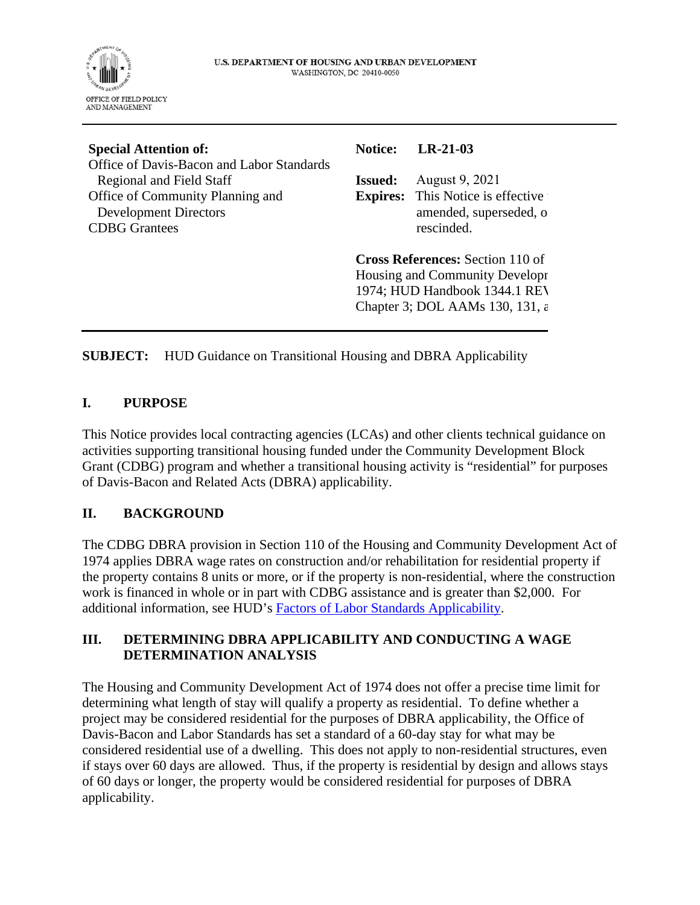

| <b>Special Attention of:</b>                                                                                                                                      | <b>Notice:</b>                                                                                                                                | $LR-21-03$                                                                                         |
|-------------------------------------------------------------------------------------------------------------------------------------------------------------------|-----------------------------------------------------------------------------------------------------------------------------------------------|----------------------------------------------------------------------------------------------------|
| Office of Davis-Bacon and Labor Standards<br>Regional and Field Staff<br>Office of Community Planning and<br><b>Development Directors</b><br><b>CDBG</b> Grantees | Issued:                                                                                                                                       | August 9, 2021<br><b>Expires:</b> This Notice is effective<br>amended, superseded, o<br>rescinded. |
|                                                                                                                                                                   | <b>Cross References: Section 110 of</b><br>Housing and Community Developr<br>1974; HUD Handbook 1344.1 REV<br>Chapter 3; DOL AAMs 130, 131, a |                                                                                                    |

**SUBJECT:** HUD Guidance on Transitional Housing and DBRA Applicability

# **I. PURPOSE**

This Notice provides local contracting agencies (LCAs) and other clients technical guidance on activities supporting transitional housing funded under the Community Development Block Grant (CDBG) program and whether a transitional housing activity is "residential" for purposes of Davis-Bacon and Related Acts (DBRA) applicability.

### **II. BACKGROUND**

The CDBG DBRA provision in Section 110 of the Housing and Community Development Act of 1974 applies DBRA wage rates on construction and/or rehabilitation for residential property if the property contains 8 units or more, or if the property is non-residential, where the construction work is financed in whole or in part with CDBG assistance and is greater than \$2,000. For additional information, see HUD's [Factors of Labor Standards Applicability.](https://www.hud.gov/program_offices/davis_bacon_and_labor_standards/olr_foa)

### **III. DETERMINING DBRA APPLICABILITY AND CONDUCTING A WAGE DETERMINATION ANALYSIS**

The Housing and Community Development Act of 1974 does not offer a precise time limit for determining what length of stay will qualify a property as residential. To define whether a project may be considered residential for the purposes of DBRA applicability, the Office of Davis-Bacon and Labor Standards has set a standard of a 60-day stay for what may be considered residential use of a dwelling. This does not apply to non-residential structures, even if stays over 60 days are allowed. Thus, if the property is residential by design and allows stays of 60 days or longer, the property would be considered residential for purposes of DBRA applicability.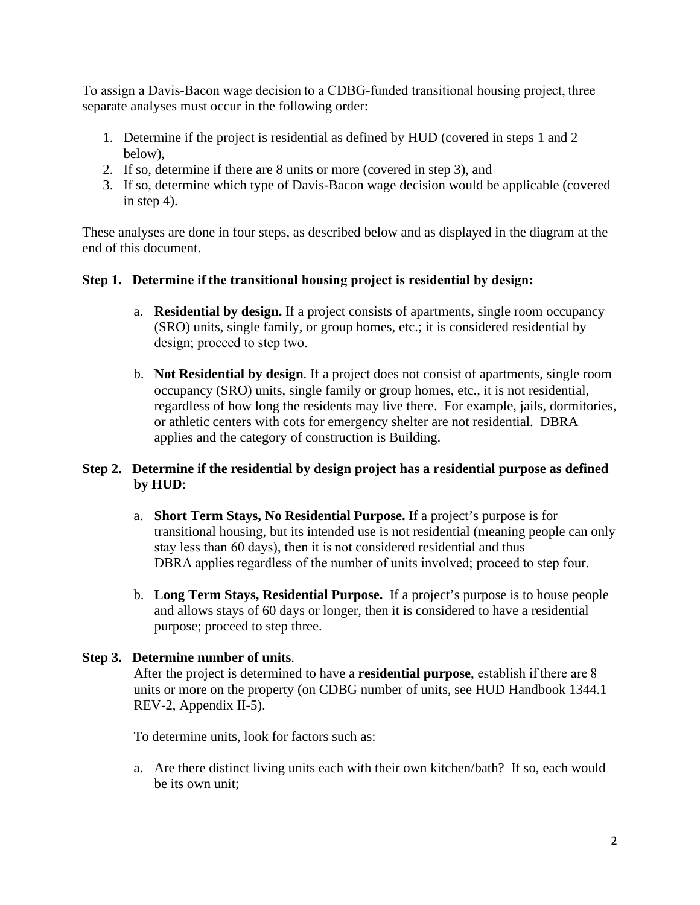To assign a Davis-Bacon wage decision to a CDBG-funded transitional housing project, three separate analyses must occur in the following order:

- 1. Determine if the project is residential as defined by HUD (covered in steps 1 and 2 below),
- 2. If so, determine if there are 8 units or more (covered in step 3), and
- 3. If so, determine which type of Davis-Bacon wage decision would be applicable (covered in step 4).

These analyses are done in four steps, as described below and as displayed in the diagram at the end of this document.

## **Step 1. Determine if the transitional housing project is residential by design:**

- a. **Residential by design.** If a project consists of apartments, single room occupancy (SRO) units, single family, or group homes, etc.; it is considered residential by design; proceed to step two.
- b. **Not Residential by design**. If a project does not consist of apartments, single room occupancy (SRO) units, single family or group homes, etc., it is not residential, regardless of how long the residents may live there. For example, jails, dormitories, or athletic centers with cots for emergency shelter are not residential. DBRA applies and the category of construction is Building.

### **Step 2. Determine if the residential by design project has a residential purpose as defined by HUD**:

- a. **Short Term Stays, No Residential Purpose.** If a project's purpose is for transitional housing, but its intended use is not residential (meaning people can only stay less than 60 days), then it is not considered residential and thus DBRA applies regardless of the number of units involved; proceed to step four.
- b. **Long Term Stays, Residential Purpose.** If a project's purpose is to house people and allows stays of 60 days or longer, then it is considered to have a residential purpose; proceed to step three.

### **Step 3. Determine number of units**.

After the project is determined to have a **residential purpose**, establish if there are 8 units or more on the property (on CDBG number of units, see HUD Handbook 1344.1 REV-2, Appendix II-5).

To determine units, look for factors such as:

a. Are there distinct living units each with their own kitchen/bath? If so, each would be its own unit;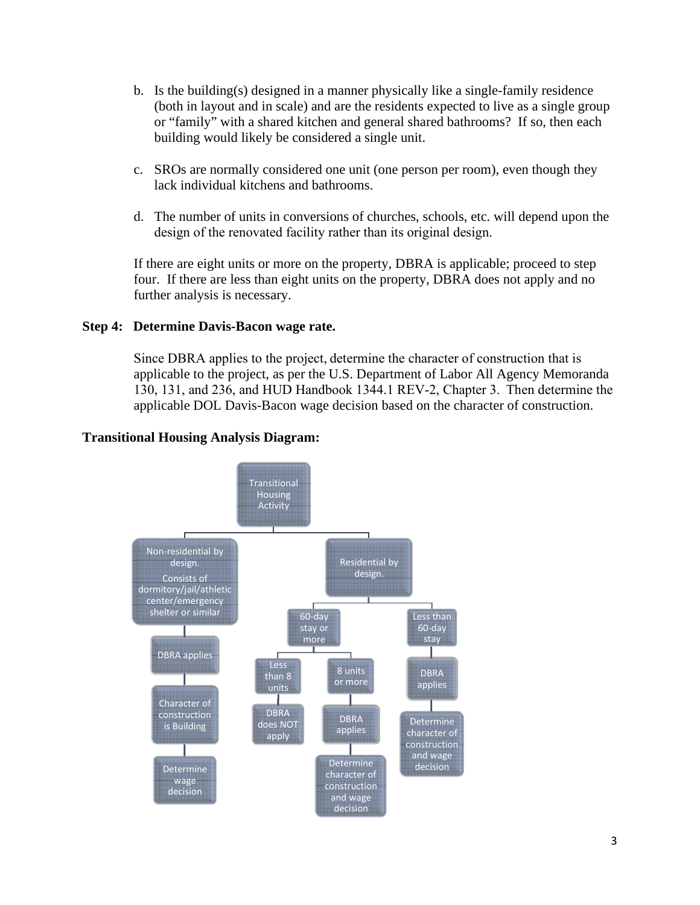- b. Is the building(s) designed in a manner physically like a single-family residence (both in layout and in scale) and are the residents expected to live as a single group or "family" with a shared kitchen and general shared bathrooms? If so, then each building would likely be considered a single unit.
- c. SROs are normally considered one unit (one person per room), even though they lack individual kitchens and bathrooms.
- d. The number of units in conversions of churches, schools, etc. will depend upon the design of the renovated facility rather than its original design.

If there are eight units or more on the property, DBRA is applicable; proceed to step four. If there are less than eight units on the property, DBRA does not apply and no further analysis is necessary.

#### **Step 4: Determine Davis-Bacon wage rate.**

Since DBRA applies to the project, determine the character of construction that is applicable to the project, as per the U.S. Department of Labor All Agency Memoranda 130, 131, and 236, and HUD Handbook 1344.1 REV-2, Chapter 3. Then determine the applicable DOL Davis-Bacon wage decision based on the character of construction.

#### **Transitional Housing Analysis Diagram:**